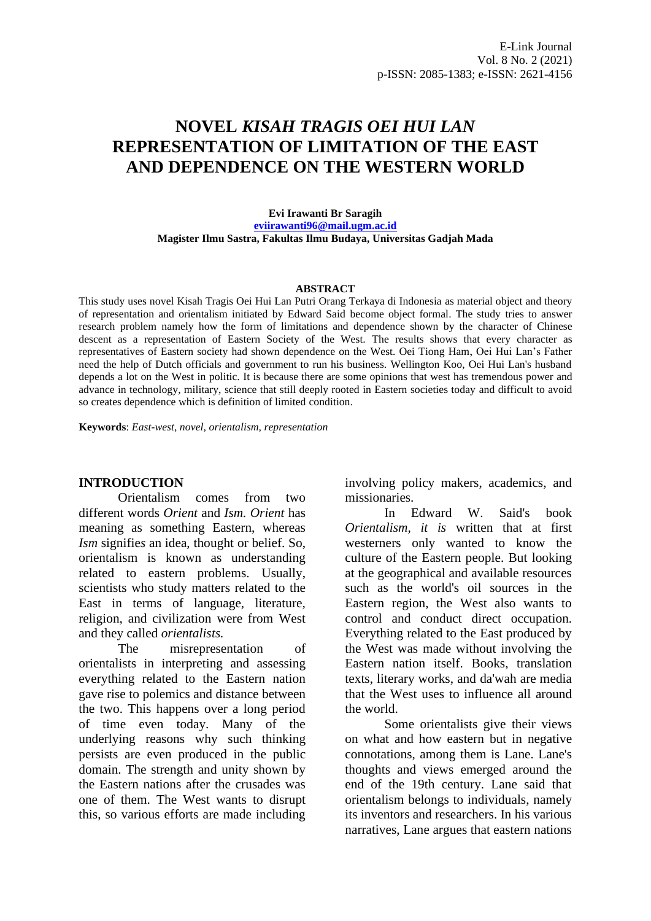# **NOVEL** *KISAH TRAGIS OEI HUI LAN* **REPRESENTATION OF LIMITATION OF THE EAST AND DEPENDENCE ON THE WESTERN WORLD**

**Evi Irawanti Br Saragih [eviirawanti96@mail.ugm.ac.id](mailto:eviirawanti96@mail.ugm.ac.id) Magister Ilmu Sastra, Fakultas Ilmu Budaya, Universitas Gadjah Mada**

#### **ABSTRACT**

This study uses novel Kisah Tragis Oei Hui Lan Putri Orang Terkaya di Indonesia as material object and theory of representation and orientalism initiated by Edward Said become object formal. The study tries to answer research problem namely how the form of limitations and dependence shown by the character of Chinese descent as a representation of Eastern Society of the West. The results shows that every character as representatives of Eastern society had shown dependence on the West. Oei Tiong Ham, Oei Hui Lan's Father need the help of Dutch officials and government to run his business. Wellington Koo, Oei Hui Lan's husband depends a lot on the West in politic. It is because there are some opinions that west has tremendous power and advance in technology, military, science that still deeply rooted in Eastern societies today and difficult to avoid so creates dependence which is definition of limited condition.

**Keywords**: *East-west, novel, orientalism, representation*

#### **INTRODUCTION**

Orientalism comes from two different words *Orient* and *Ism. Orient* has meaning as something Eastern, whereas *Ism* signifie*s* an idea, thought or belief. So, orientalism is known as understanding related to eastern problems. Usually, scientists who study matters related to the East in terms of language, literature, religion, and civilization were from West and they called *orientalists.*

The misrepresentation of orientalists in interpreting and assessing everything related to the Eastern nation gave rise to polemics and distance between the two. This happens over a long period of time even today. Many of the underlying reasons why such thinking persists are even produced in the public domain. The strength and unity shown by the Eastern nations after the crusades was one of them. The West wants to disrupt this, so various efforts are made including

involving policy makers, academics, and missionaries.

In Edward W. Said's book *Orientalism, it is* written that at first westerners only wanted to know the culture of the Eastern people. But looking at the geographical and available resources such as the world's oil sources in the Eastern region, the West also wants to control and conduct direct occupation. Everything related to the East produced by the West was made without involving the Eastern nation itself. Books, translation texts, literary works, and da'wah are media that the West uses to influence all around the world.

Some orientalists give their views on what and how eastern but in negative connotations, among them is Lane. Lane's thoughts and views emerged around the end of the 19th century. Lane said that orientalism belongs to individuals, namely its inventors and researchers. In his various narratives, Lane argues that eastern nations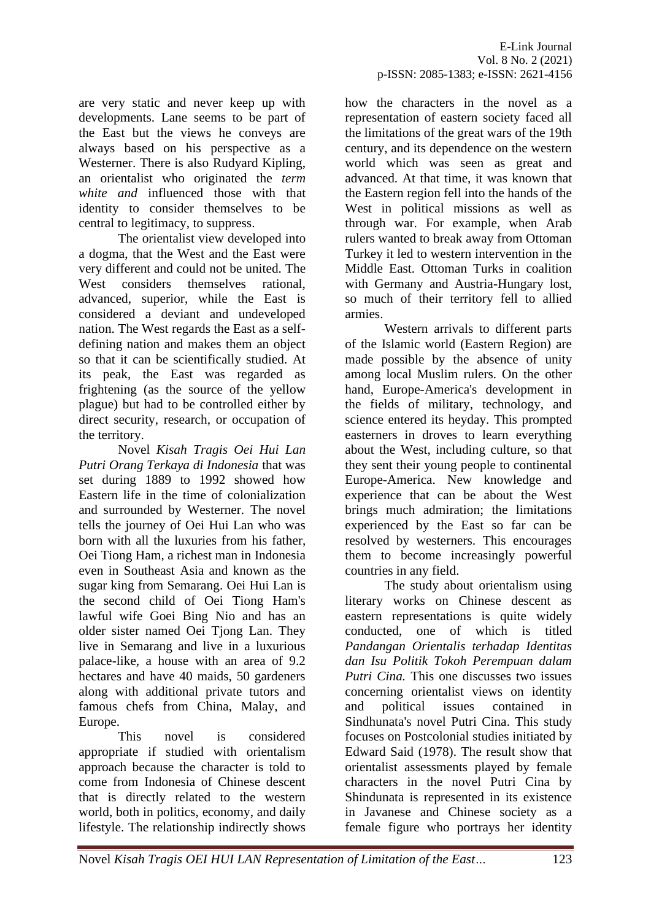are very static and never keep up with developments. Lane seems to be part of the East but the views he conveys are always based on his perspective as a Westerner. There is also Rudyard Kipling, an orientalist who originated the *term white and* influenced those with that identity to consider themselves to be central to legitimacy, to suppress.

The orientalist view developed into a dogma, that the West and the East were very different and could not be united. The West considers themselves rational, advanced, superior, while the East is considered a deviant and undeveloped nation. The West regards the East as a selfdefining nation and makes them an object so that it can be scientifically studied. At its peak, the East was regarded as frightening (as the source of the yellow plague) but had to be controlled either by direct security, research, or occupation of the territory.

Novel *Kisah Tragis Oei Hui Lan Putri Orang Terkaya di Indonesia* that was set during 1889 to 1992 showed how Eastern life in the time of colonialization and surrounded by Westerner. The novel tells the journey of Oei Hui Lan who was born with all the luxuries from his father, Oei Tiong Ham, a richest man in Indonesia even in Southeast Asia and known as the sugar king from Semarang. Oei Hui Lan is the second child of Oei Tiong Ham's lawful wife Goei Bing Nio and has an older sister named Oei Tjong Lan. They live in Semarang and live in a luxurious palace-like, a house with an area of 9.2 hectares and have 40 maids, 50 gardeners along with additional private tutors and famous chefs from China, Malay, and Europe.

This novel is considered appropriate if studied with orientalism approach because the character is told to come from Indonesia of Chinese descent that is directly related to the western world, both in politics, economy, and daily lifestyle. The relationship indirectly shows

how the characters in the novel as a representation of eastern society faced all the limitations of the great wars of the 19th century, and its dependence on the western world which was seen as great and advanced. At that time, it was known that the Eastern region fell into the hands of the West in political missions as well as through war. For example, when Arab rulers wanted to break away from Ottoman Turkey it led to western intervention in the Middle East. Ottoman Turks in coalition with Germany and Austria-Hungary lost, so much of their territory fell to allied armies.

Western arrivals to different parts of the Islamic world (Eastern Region) are made possible by the absence of unity among local Muslim rulers. On the other hand, Europe-America's development in the fields of military, technology, and science entered its heyday. This prompted easterners in droves to learn everything about the West, including culture, so that they sent their young people to continental Europe-America. New knowledge and experience that can be about the West brings much admiration; the limitations experienced by the East so far can be resolved by westerners. This encourages them to become increasingly powerful countries in any field.

The study about orientalism using literary works on Chinese descent as eastern representations is quite widely conducted, one of which is titled *Pandangan Orientalis terhadap Identitas dan Isu Politik Tokoh Perempuan dalam Putri Cina.* This one discusses two issues concerning orientalist views on identity and political issues contained in Sindhunata's novel Putri Cina. This study focuses on Postcolonial studies initiated by Edward Said (1978). The result show that orientalist assessments played by female characters in the novel Putri Cina by Shindunata is represented in its existence in Javanese and Chinese society as a female figure who portrays her identity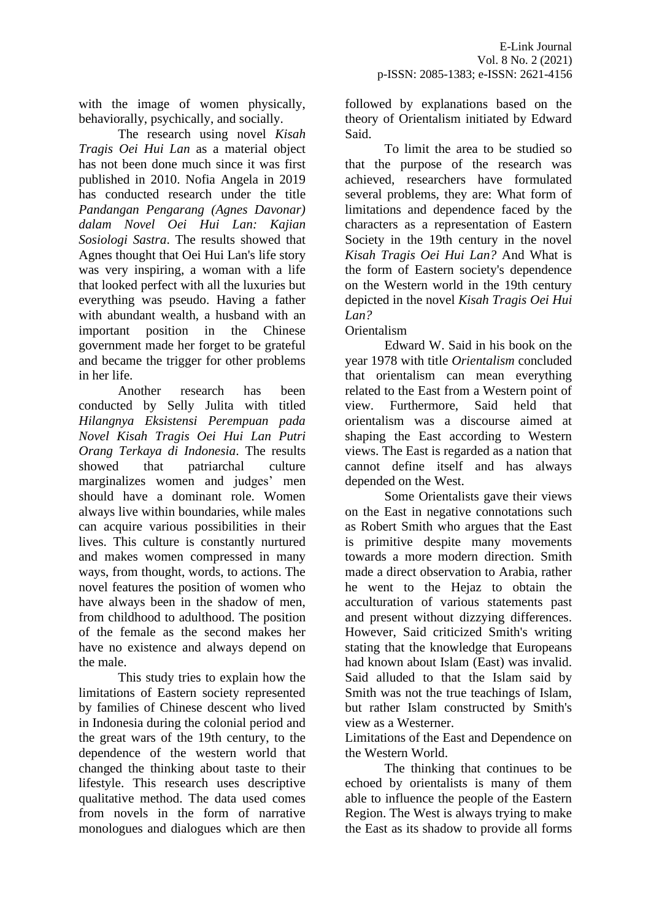with the image of women physically, behaviorally, psychically, and socially.

The research using novel *Kisah Tragis Oei Hui Lan* as a material object has not been done much since it was first published in 2010. Nofia Angela in 2019 has conducted research under the title *Pandangan Pengarang (Agnes Davonar) dalam Novel Oei Hui Lan: Kajian Sosiologi Sastra*. The results showed that Agnes thought that Oei Hui Lan's life story was very inspiring, a woman with a life that looked perfect with all the luxuries but everything was pseudo. Having a father with abundant wealth, a husband with an important position in the Chinese government made her forget to be grateful and became the trigger for other problems in her life.

Another research has been conducted by Selly Julita with titled *Hilangnya Eksistensi Perempuan pada Novel Kisah Tragis Oei Hui Lan Putri Orang Terkaya di Indonesia*. The results showed that patriarchal culture marginalizes women and judges' men should have a dominant role. Women always live within boundaries, while males can acquire various possibilities in their lives. This culture is constantly nurtured and makes women compressed in many ways, from thought, words, to actions. The novel features the position of women who have always been in the shadow of men, from childhood to adulthood. The position of the female as the second makes her have no existence and always depend on the male.

This study tries to explain how the limitations of Eastern society represented by families of Chinese descent who lived in Indonesia during the colonial period and the great wars of the 19th century, to the dependence of the western world that changed the thinking about taste to their lifestyle. This research uses descriptive qualitative method. The data used comes from novels in the form of narrative monologues and dialogues which are then followed by explanations based on the theory of Orientalism initiated by Edward Said.

To limit the area to be studied so that the purpose of the research was achieved, researchers have formulated several problems, they are: What form of limitations and dependence faced by the characters as a representation of Eastern Society in the 19th century in the novel *Kisah Tragis Oei Hui Lan?* And What is the form of Eastern society's dependence on the Western world in the 19th century depicted in the novel *Kisah Tragis Oei Hui Lan?*

### Orientalism

Edward W. Said in his book on the year 1978 with title *Orientalism* concluded that orientalism can mean everything related to the East from a Western point of view. Furthermore, Said held that orientalism was a discourse aimed at shaping the East according to Western views. The East is regarded as a nation that cannot define itself and has always depended on the West.

Some Orientalists gave their views on the East in negative connotations such as Robert Smith who argues that the East is primitive despite many movements towards a more modern direction. Smith made a direct observation to Arabia, rather he went to the Hejaz to obtain the acculturation of various statements past and present without dizzying differences. However, Said criticized Smith's writing stating that the knowledge that Europeans had known about Islam (East) was invalid. Said alluded to that the Islam said by Smith was not the true teachings of Islam, but rather Islam constructed by Smith's view as a Westerner.

Limitations of the East and Dependence on the Western World.

The thinking that continues to be echoed by orientalists is many of them able to influence the people of the Eastern Region. The West is always trying to make the East as its shadow to provide all forms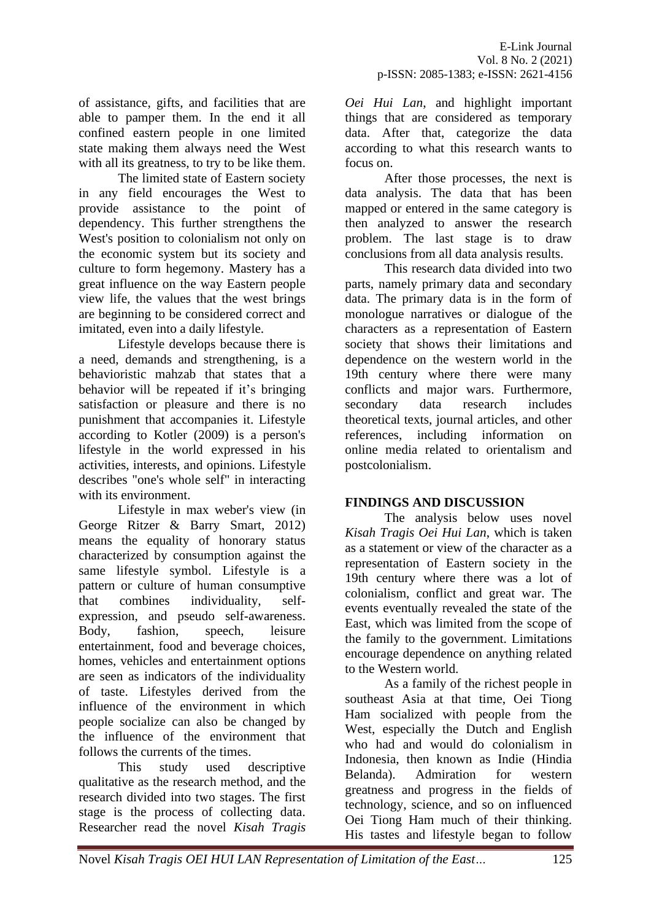of assistance, gifts, and facilities that are able to pamper them. In the end it all confined eastern people in one limited state making them always need the West with all its greatness, to try to be like them.

The limited state of Eastern society in any field encourages the West to provide assistance to the point of dependency. This further strengthens the West's position to colonialism not only on the economic system but its society and culture to form hegemony. Mastery has a great influence on the way Eastern people view life, the values that the west brings are beginning to be considered correct and imitated, even into a daily lifestyle.

Lifestyle develops because there is a need, demands and strengthening, is a behavioristic mahzab that states that a behavior will be repeated if it's bringing satisfaction or pleasure and there is no punishment that accompanies it. Lifestyle according to Kotler (2009) is a person's lifestyle in the world expressed in his activities, interests, and opinions. Lifestyle describes "one's whole self" in interacting with its environment.

Lifestyle in max weber's view (in George Ritzer & Barry Smart, 2012) means the equality of honorary status characterized by consumption against the same lifestyle symbol. Lifestyle is a pattern or culture of human consumptive that combines individuality, selfexpression, and pseudo self-awareness. Body, fashion, speech, leisure entertainment, food and beverage choices, homes, vehicles and entertainment options are seen as indicators of the individuality of taste. Lifestyles derived from the influence of the environment in which people socialize can also be changed by the influence of the environment that follows the currents of the times.

This study used descriptive qualitative as the research method, and the research divided into two stages. The first stage is the process of collecting data. Researcher read the novel *Kisah Tragis*  *Oei Hui Lan*, and highlight important things that are considered as temporary data. After that, categorize the data according to what this research wants to focus on.

After those processes, the next is data analysis. The data that has been mapped or entered in the same category is then analyzed to answer the research problem. The last stage is to draw conclusions from all data analysis results.

This research data divided into two parts, namely primary data and secondary data. The primary data is in the form of monologue narratives or dialogue of the characters as a representation of Eastern society that shows their limitations and dependence on the western world in the 19th century where there were many conflicts and major wars. Furthermore, secondary data research includes theoretical texts, journal articles, and other references, including information on online media related to orientalism and postcolonialism.

## **FINDINGS AND DISCUSSION**

The analysis below uses novel *Kisah Tragis Oei Hui Lan*, which is taken as a statement or view of the character as a representation of Eastern society in the 19th century where there was a lot of colonialism, conflict and great war. The events eventually revealed the state of the East, which was limited from the scope of the family to the government. Limitations encourage dependence on anything related to the Western world.

As a family of the richest people in southeast Asia at that time, Oei Tiong Ham socialized with people from the West, especially the Dutch and English who had and would do colonialism in Indonesia, then known as Indie (Hindia Belanda). Admiration for western greatness and progress in the fields of technology, science, and so on influenced Oei Tiong Ham much of their thinking. His tastes and lifestyle began to follow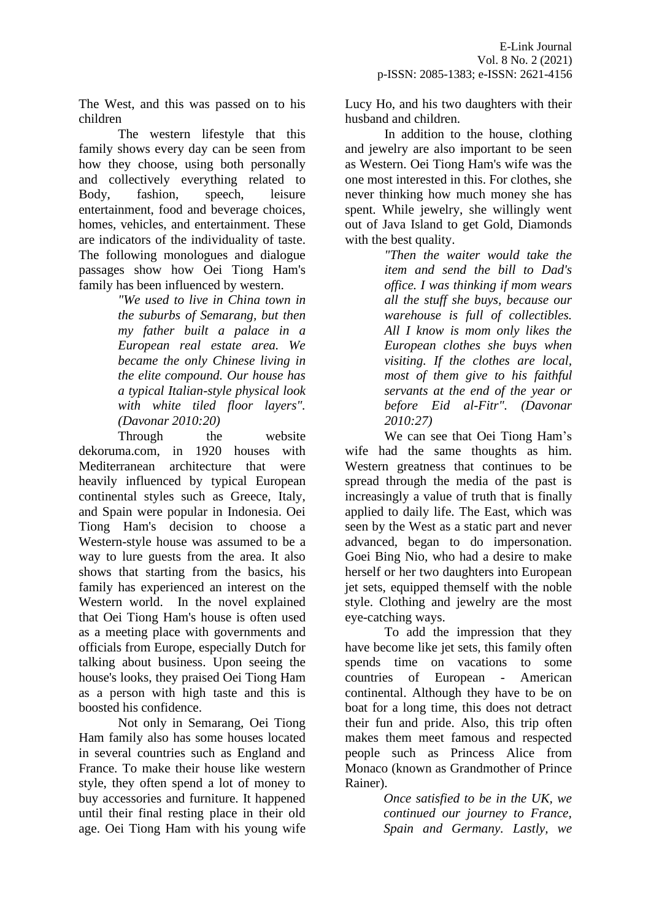The West, and this was passed on to his children

The western lifestyle that this family shows every day can be seen from how they choose, using both personally and collectively everything related to Body, fashion, speech, leisure entertainment, food and beverage choices, homes, vehicles, and entertainment. These are indicators of the individuality of taste. The following monologues and dialogue passages show how Oei Tiong Ham's family has been influenced by western.

*"We used to live in China town in the suburbs of Semarang, but then my father built a palace in a European real estate area. We became the only Chinese living in the elite compound. Our house has a typical Italian-style physical look with white tiled floor layers". (Davonar 2010:20)*

Through the website dekoruma.com, in 1920 houses with Mediterranean architecture that were heavily influenced by typical European continental styles such as Greece, Italy, and Spain were popular in Indonesia. Oei Tiong Ham's decision to choose a Western-style house was assumed to be a way to lure guests from the area. It also shows that starting from the basics, his family has experienced an interest on the Western world. In the novel explained that Oei Tiong Ham's house is often used as a meeting place with governments and officials from Europe, especially Dutch for talking about business. Upon seeing the house's looks, they praised Oei Tiong Ham as a person with high taste and this is boosted his confidence.

Not only in Semarang, Oei Tiong Ham family also has some houses located in several countries such as England and France. To make their house like western style, they often spend a lot of money to buy accessories and furniture. It happened until their final resting place in their old age. Oei Tiong Ham with his young wife Lucy Ho, and his two daughters with their husband and children.

In addition to the house, clothing and jewelry are also important to be seen as Western. Oei Tiong Ham's wife was the one most interested in this. For clothes, she never thinking how much money she has spent. While jewelry, she willingly went out of Java Island to get Gold, Diamonds with the best quality.

*"Then the waiter would take the item and send the bill to Dad's office. I was thinking if mom wears all the stuff she buys, because our warehouse is full of collectibles. All I know is mom only likes the European clothes she buys when visiting. If the clothes are local, most of them give to his faithful servants at the end of the year or before Eid al-Fitr". (Davonar 2010:27)*

We can see that Oei Tiong Ham's wife had the same thoughts as him. Western greatness that continues to be spread through the media of the past is increasingly a value of truth that is finally applied to daily life. The East, which was seen by the West as a static part and never advanced, began to do impersonation. Goei Bing Nio, who had a desire to make herself or her two daughters into European jet sets, equipped themself with the noble style. Clothing and jewelry are the most eye-catching ways.

To add the impression that they have become like jet sets, this family often spends time on vacations to some countries of European - American continental. Although they have to be on boat for a long time, this does not detract their fun and pride. Also, this trip often makes them meet famous and respected people such as Princess Alice from Monaco (known as Grandmother of Prince Rainer).

> *Once satisfied to be in the UK, we continued our journey to France, Spain and Germany. Lastly, we*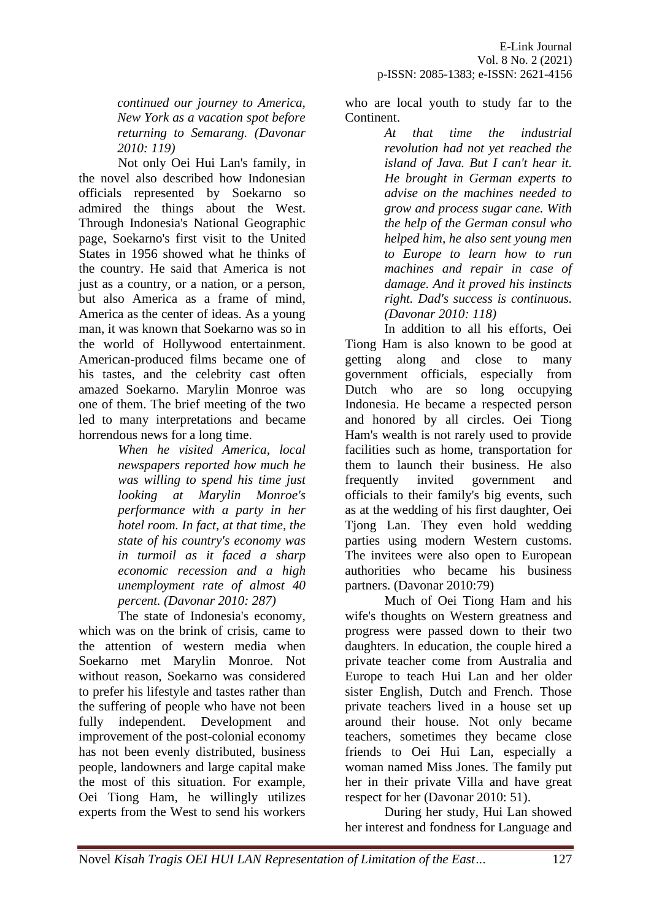*continued our journey to America, New York as a vacation spot before returning to Semarang. (Davonar 2010: 119)*

Not only Oei Hui Lan's family, in the novel also described how Indonesian officials represented by Soekarno so admired the things about the West. Through Indonesia's National Geographic page, Soekarno's first visit to the United States in 1956 showed what he thinks of the country. He said that America is not just as a country, or a nation, or a person, but also America as a frame of mind, America as the center of ideas. As a young man, it was known that Soekarno was so in the world of Hollywood entertainment. American-produced films became one of his tastes, and the celebrity cast often amazed Soekarno. Marylin Monroe was one of them. The brief meeting of the two led to many interpretations and became horrendous news for a long time.

> *When he visited America, local newspapers reported how much he was willing to spend his time just looking at Marylin Monroe's performance with a party in her hotel room. In fact, at that time, the state of his country's economy was in turmoil as it faced a sharp economic recession and a high unemployment rate of almost 40 percent. (Davonar 2010: 287)*

The state of Indonesia's economy, which was on the brink of crisis, came to the attention of western media when Soekarno met Marylin Monroe. Not without reason, Soekarno was considered to prefer his lifestyle and tastes rather than the suffering of people who have not been fully independent. Development and improvement of the post-colonial economy has not been evenly distributed, business people, landowners and large capital make the most of this situation. For example, Oei Tiong Ham, he willingly utilizes experts from the West to send his workers

who are local youth to study far to the Continent.

*At that time the industrial revolution had not yet reached the island of Java. But I can't hear it. He brought in German experts to advise on the machines needed to grow and process sugar cane. With the help of the German consul who helped him, he also sent young men to Europe to learn how to run machines and repair in case of damage. And it proved his instincts right. Dad's success is continuous. (Davonar 2010: 118)*

In addition to all his efforts, Oei Tiong Ham is also known to be good at getting along and close to many government officials, especially from Dutch who are so long occupying Indonesia. He became a respected person and honored by all circles. Oei Tiong Ham's wealth is not rarely used to provide facilities such as home, transportation for them to launch their business. He also frequently invited government and officials to their family's big events, such as at the wedding of his first daughter, Oei Tjong Lan. They even hold wedding parties using modern Western customs. The invitees were also open to European authorities who became his business partners. (Davonar 2010:79)

Much of Oei Tiong Ham and his wife's thoughts on Western greatness and progress were passed down to their two daughters. In education, the couple hired a private teacher come from Australia and Europe to teach Hui Lan and her older sister English, Dutch and French. Those private teachers lived in a house set up around their house. Not only became teachers, sometimes they became close friends to Oei Hui Lan, especially a woman named Miss Jones. The family put her in their private Villa and have great respect for her (Davonar 2010: 51).

During her study, Hui Lan showed her interest and fondness for Language and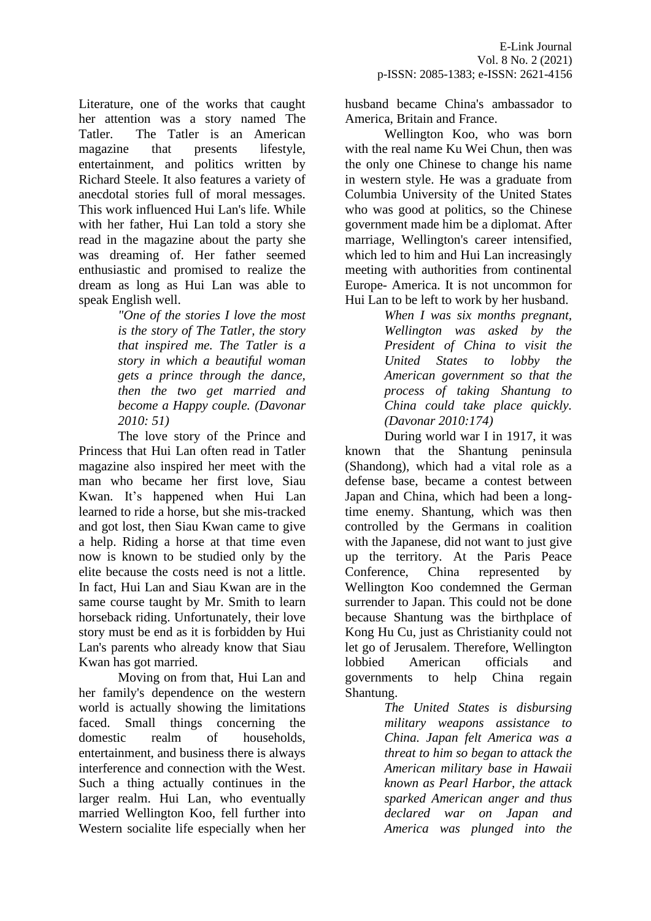Literature, one of the works that caught her attention was a story named The Tatler. The Tatler is an American magazine that presents lifestyle, entertainment, and politics written by Richard Steele. It also features a variety of anecdotal stories full of moral messages. This work influenced Hui Lan's life. While with her father, Hui Lan told a story she read in the magazine about the party she was dreaming of. Her father seemed enthusiastic and promised to realize the dream as long as Hui Lan was able to speak English well.

*"One of the stories I love the most is the story of The Tatler, the story that inspired me. The Tatler is a story in which a beautiful woman gets a prince through the dance, then the two get married and become a Happy couple. (Davonar 2010: 51)*

The love story of the Prince and Princess that Hui Lan often read in Tatler magazine also inspired her meet with the man who became her first love, Siau Kwan. It's happened when Hui Lan learned to ride a horse, but she mis-tracked and got lost, then Siau Kwan came to give a help. Riding a horse at that time even now is known to be studied only by the elite because the costs need is not a little. In fact, Hui Lan and Siau Kwan are in the same course taught by Mr. Smith to learn horseback riding. Unfortunately, their love story must be end as it is forbidden by Hui Lan's parents who already know that Siau Kwan has got married.

Moving on from that, Hui Lan and her family's dependence on the western world is actually showing the limitations faced. Small things concerning the domestic realm of households, entertainment, and business there is always interference and connection with the West. Such a thing actually continues in the larger realm. Hui Lan, who eventually married Wellington Koo, fell further into Western socialite life especially when her husband became China's ambassador to America, Britain and France.

Wellington Koo, who was born with the real name Ku Wei Chun, then was the only one Chinese to change his name in western style. He was a graduate from Columbia University of the United States who was good at politics, so the Chinese government made him be a diplomat. After marriage, Wellington's career intensified, which led to him and Hui Lan increasingly meeting with authorities from continental Europe- America. It is not uncommon for Hui Lan to be left to work by her husband.

> *When I was six months pregnant, Wellington was asked by the President of China to visit the United States to lobby the American government so that the process of taking Shantung to China could take place quickly. (Davonar 2010:174)*

During world war I in 1917, it was known that the Shantung peninsula (Shandong), which had a vital role as a defense base, became a contest between Japan and China, which had been a longtime enemy. Shantung, which was then controlled by the Germans in coalition with the Japanese, did not want to just give up the territory. At the Paris Peace Conference, China represented by Wellington Koo condemned the German surrender to Japan. This could not be done because Shantung was the birthplace of Kong Hu Cu, just as Christianity could not let go of Jerusalem. Therefore, Wellington lobbied American officials and governments to help China regain Shantung.

> *The United States is disbursing military weapons assistance to China. Japan felt America was a threat to him so began to attack the American military base in Hawaii known as Pearl Harbor, the attack sparked American anger and thus declared war on Japan and America was plunged into the*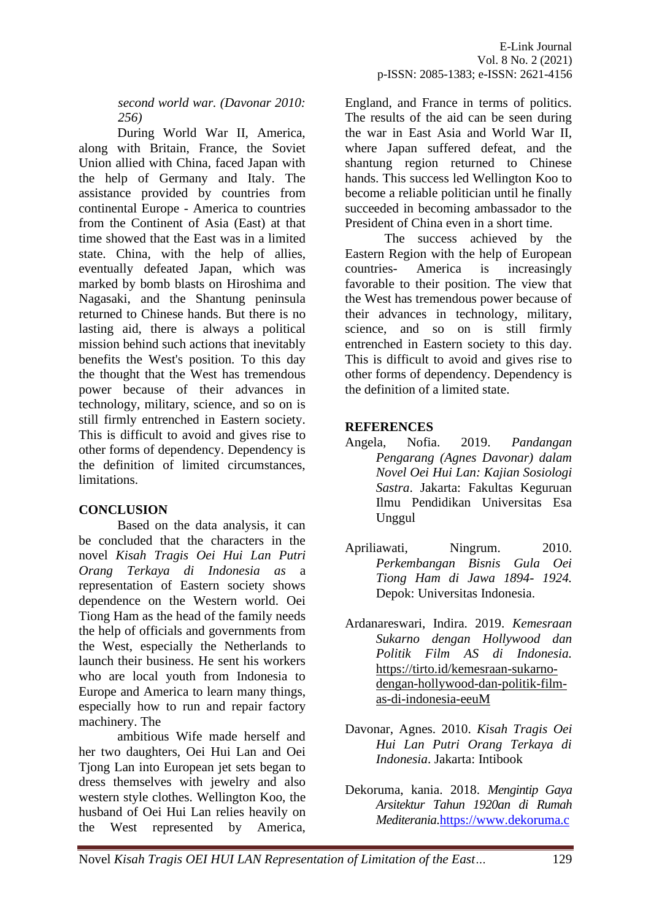*second world war. (Davonar 2010: 256)*

During World War II, America, along with Britain, France, the Soviet Union allied with China, faced Japan with the help of Germany and Italy. The assistance provided by countries from continental Europe - America to countries from the Continent of Asia (East) at that time showed that the East was in a limited state. China, with the help of allies, eventually defeated Japan, which was marked by bomb blasts on Hiroshima and Nagasaki, and the Shantung peninsula returned to Chinese hands. But there is no lasting aid, there is always a political mission behind such actions that inevitably benefits the West's position. To this day the thought that the West has tremendous power because of their advances in technology, military, science, and so on is still firmly entrenched in Eastern society. This is difficult to avoid and gives rise to other forms of dependency. Dependency is the definition of limited circumstances, limitations.

### **CONCLUSION**

Based on the data analysis, it can be concluded that the characters in the novel *Kisah Tragis Oei Hui Lan Putri Orang Terkaya di Indonesia as* a representation of Eastern society shows dependence on the Western world. Oei Tiong Ham as the head of the family needs the help of officials and governments from the West, especially the Netherlands to launch their business. He sent his workers who are local youth from Indonesia to Europe and America to learn many things, especially how to run and repair factory machinery. The

ambitious Wife made herself and her two daughters, Oei Hui Lan and Oei Tjong Lan into European jet sets began to dress themselves with jewelry and also western style clothes. Wellington Koo, the husband of Oei Hui Lan relies heavily on the West represented by America,

England, and France in terms of politics. The results of the aid can be seen during the war in East Asia and World War II, where Japan suffered defeat, and the shantung region returned to Chinese hands. This success led Wellington Koo to become a reliable politician until he finally succeeded in becoming ambassador to the President of China even in a short time.

The success achieved by the Eastern Region with the help of European countries- America is increasingly favorable to their position. The view that the West has tremendous power because of their advances in technology, military, science, and so on is still firmly entrenched in Eastern society to this day. This is difficult to avoid and gives rise to other forms of dependency. Dependency is the definition of a limited state.

### **REFERENCES**

- Angela, Nofia. 2019. *Pandangan Pengarang (Agnes Davonar) dalam Novel Oei Hui Lan: Kajian Sosiologi Sastra*. Jakarta: Fakultas Keguruan Ilmu Pendidikan Universitas Esa Unggul
- Apriliawati, Ningrum. 2010. *Perkembangan Bisnis Gula Oei Tiong Ham di Jawa 1894- 1924.* Depok: Universitas Indonesia.
- Ardanareswari, Indira. 2019. *Kemesraan Sukarno dengan Hollywood dan Politik Film AS di Indonesia.*  [https://tirto.id/kemesraan-sukarno](https://tirto.id/kemesraan-sukarno-dengan-hollywood-dan-politik-film-as-di-indonesia-eeuM)[dengan-hollywood-dan-politik-film](https://tirto.id/kemesraan-sukarno-dengan-hollywood-dan-politik-film-as-di-indonesia-eeuM)[as-di-indonesia-eeuM](https://tirto.id/kemesraan-sukarno-dengan-hollywood-dan-politik-film-as-di-indonesia-eeuM)
- Davonar, Agnes. 2010. *Kisah Tragis Oei Hui Lan Putri Orang Terkaya di Indonesia*. Jakarta: Intibook
- Dekoruma, kania. 2018. *Mengintip Gaya Arsitektur Tahun 1920an di Rumah Mediterania*[.https://www.dekoruma.c](https://www.dekoruma.com/artikel/62687/gaya-arsitektur-rumah-mediterania)